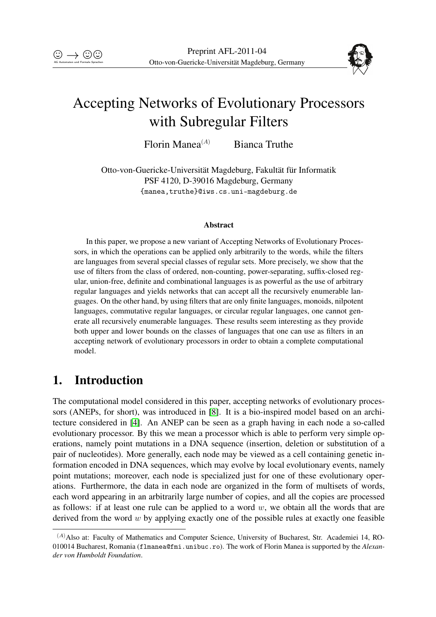

# Accepting Networks of Evolutionary Processors with Subregular Filters

Florin Manea $^{(A)}$  Bianca Truthe

Otto-von-Guericke-Universität Magdeburg, Fakultät für Informatik PSF 4120, D-39016 Magdeburg, Germany {manea,truthe}@iws.cs.uni-magdeburg.de

#### Abstract

In this paper, we propose a new variant of Accepting Networks of Evolutionary Processors, in which the operations can be applied only arbitrarily to the words, while the filters are languages from several special classes of regular sets. More precisely, we show that the use of filters from the class of ordered, non-counting, power-separating, suffix-closed regular, union-free, definite and combinational languages is as powerful as the use of arbitrary regular languages and yields networks that can accept all the recursively enumerable languages. On the other hand, by using filters that are only finite languages, monoids, nilpotent languages, commutative regular languages, or circular regular languages, one cannot generate all recursively enumerable languages. These results seem interesting as they provide both upper and lower bounds on the classes of languages that one can use as filters in an accepting network of evolutionary processors in order to obtain a complete computational model.

# 1. Introduction

The computational model considered in this paper, accepting networks of evolutionary processors (ANEPs, for short), was introduced in [\[8\]](#page-19-0). It is a bio-inspired model based on an architecture considered in [\[4\]](#page-19-1). An ANEP can be seen as a graph having in each node a so-called evolutionary processor. By this we mean a processor which is able to perform very simple operations, namely point mutations in a DNA sequence (insertion, deletion or substitution of a pair of nucleotides). More generally, each node may be viewed as a cell containing genetic information encoded in DNA sequences, which may evolve by local evolutionary events, namely point mutations; moreover, each node is specialized just for one of these evolutionary operations. Furthermore, the data in each node are organized in the form of multisets of words, each word appearing in an arbitrarily large number of copies, and all the copies are processed as follows: if at least one rule can be applied to a word  $w$ , we obtain all the words that are derived from the word  $w$  by applying exactly one of the possible rules at exactly one feasible

<sup>(</sup>A)Also at: Faculty of Mathematics and Computer Science, University of Bucharest, Str. Academiei 14, RO-010014 Bucharest, Romania (flmanea@fmi.unibuc.ro). The work of Florin Manea is supported by the *Alexander von Humboldt Foundation*.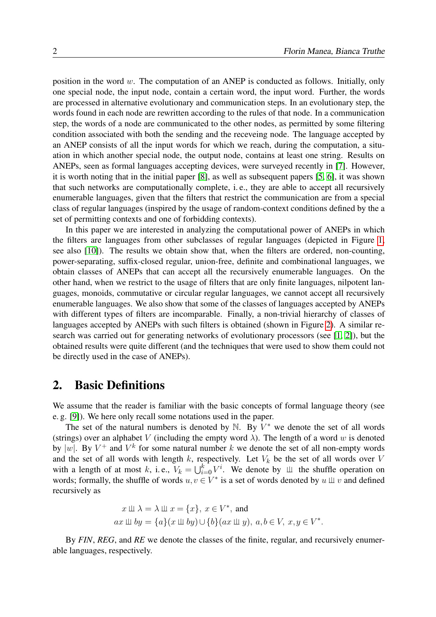position in the word w. The computation of an ANEP is conducted as follows. Initially, only one special node, the input node, contain a certain word, the input word. Further, the words are processed in alternative evolutionary and communication steps. In an evolutionary step, the words found in each node are rewritten according to the rules of that node. In a communication step, the words of a node are communicated to the other nodes, as permitted by some filtering condition associated with both the sending and the receveing node. The language accepted by an ANEP consists of all the input words for which we reach, during the computation, a situation in which another special node, the output node, contains at least one string. Results on ANEPs, seen as formal languages accepting devices, were surveyed recently in [\[7\]](#page-19-2). However, it is worth noting that in the initial paper [\[8\]](#page-19-0), as well as subsequent papers [\[5,](#page-19-3) [6\]](#page-19-4), it was shown that such networks are computationally complete, i. e., they are able to accept all recursively enumerable languages, given that the filters that restrict the communication are from a special class of regular languages (inspired by the usage of random-context conditions defined by the a set of permitting contexts and one of forbidding contexts).

In this paper we are interested in analyzing the computational power of ANEPs in which the filters are languages from other subclasses of regular languages (depicted in Figure [1,](#page-3-0) see also [\[10\]](#page-19-5)). The results we obtain show that, when the filters are ordered, non-counting, power-separating, suffix-closed regular, union-free, definite and combinational languages, we obtain classes of ANEPs that can accept all the recursively enumerable languages. On the other hand, when we restrict to the usage of filters that are only finite languages, nilpotent languages, monoids, commutative or circular regular languages, we cannot accept all recursively enumerable languages. We also show that some of the classes of languages accepted by ANEPs with different types of filters are incomparable. Finally, a non-trivial hierarchy of classes of languages accepted by ANEPs with such filters is obtained (shown in Figure [2\)](#page-18-0). A similar research was carried out for generating networks of evolutionary processors (see [\[1,](#page-19-6) [2\]](#page-19-7)), but the obtained results were quite different (and the techniques that were used to show them could not be directly used in the case of ANEPs).

### 2. Basic Definitions

We assume that the reader is familiar with the basic concepts of formal language theory (see e. g. [\[9\]](#page-19-8)). We here only recall some notations used in the paper.

The set of the natural numbers is denoted by  $\mathbb N$ . By  $V^*$  we denote the set of all words (strings) over an alphabet V (including the empty word  $\lambda$ ). The length of a word w is denoted by |w|. By  $V^+$  and  $V^k$  for some natural number k we denote the set of all non-empty words and the set of all words with length k, respectively. Let  $V_k$  be the set of all words over V with a length of at most k, i.e.,  $V_k = \bigcup_{i=0}^k V^i$ . We denote by  $\perp \!\!\! \perp$  the shuffle operation on words; formally, the shuffle of words  $u, v \in V^*$  is a set of words denoted by  $u \perp v$  and defined recursively as

$$
x \perp \!\!\!\perp \lambda = \lambda \perp \!\!\!\perp x = \{x\}, x \in V^*, \text{ and}
$$
  

$$
ax \perp \!\!\!\perp by = \{a\}(x \perp \!\!\!\perp by) \cup \{b\}(ax \perp \!\!\!\perp y), a, b \in V, x, y \in V^*.
$$

By *FIN*, *REG*, and *RE* we denote the classes of the finite, regular, and recursively enumerable languages, respectively.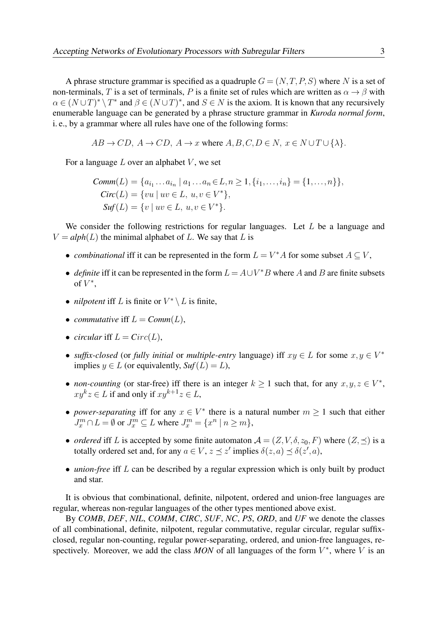A phrase structure grammar is specified as a quadruple  $G = (N, T, P, S)$  where N is a set of non-terminals, T is a set of terminals, P is a finite set of rules which are written as  $\alpha \to \beta$  with  $\alpha \in (N \cup T)^* \setminus T^*$  and  $\beta \in (N \cup T)^*$ , and  $S \in N$  is the axiom. It is known that any recursively enumerable language can be generated by a phrase structure grammar in *Kuroda normal form*, i. e., by a grammar where all rules have one of the following forms:

$$
AB \to CD
$$
,  $A \to CD$ ,  $A \to x$  where  $A, B, C, D \in N$ ,  $x \in N \cup T \cup \{\lambda\}$ .

For a language  $L$  over an alphabet  $V$ , we set

$$
Comm(L) = \{a_{i_1} \dots a_{i_n} \mid a_1 \dots a_n \in L, n \ge 1, \{i_1, \dots, i_n\} = \{1, \dots, n\}\},
$$
  
\n
$$
Circ(L) = \{vu \mid uv \in L, u, v \in V^*\},
$$
  
\n
$$
Suf(L) = \{v \mid uv \in L, u, v \in V^*\}.
$$

We consider the following restrictions for regular languages. Let L be a language and  $V = a lph(L)$  the minimal alphabet of L. We say that L is

- *combinational* iff it can be represented in the form  $L = V^*A$  for some subset  $A \subseteq V$ ,
- *definite* iff it can be represented in the form  $L = A \cup V^*B$  where A and B are finite subsets of  $V^*$ ,
- *nilpotent* iff L is finite or  $V^* \setminus L$  is finite,
- *commutative* if  $L = Comm(L)$ ,
- *circular* iff  $L = Circ(L)$ ,
- *suffix-closed* (or *fully initial* or *multiple-entry* language) iff  $xy \in L$  for some  $x, y \in V^*$ implies  $y \in L$  (or equivalently,  $\mathcal{S}uf(L) = L$ ),
- *non-counting* (or star-free) iff there is an integer  $k \ge 1$  such that, for any  $x, y, z \in V^*$ ,  $xy^kz \in L$  if and only if  $xy^{k+1}z \in L$ ,
- *power-separating* iff for any  $x \in V^*$  there is a natural number  $m \ge 1$  such that either  $J_x^m \cap L = \emptyset$  or  $J_x^m \subseteq L$  where  $J_x^m = \{x^n \mid n \ge m\},$
- *ordered* iff L is accepted by some finite automaton  $A = (Z, V, \delta, z_0, F)$  where  $(Z, \preceq)$  is a totally ordered set and, for any  $a \in V$ ,  $z \preceq z'$  implies  $\delta(z, a) \preceq \delta(z', a)$ ,
- *union-free* iff L can be described by a regular expression which is only built by product and star.

It is obvious that combinational, definite, nilpotent, ordered and union-free languages are regular, whereas non-regular languages of the other types mentioned above exist.

By *COMB*, *DEF*, *NIL*, *COMM*, *CIRC*, *SUF*, *NC*, *PS*, *ORD*, and *UF* we denote the classes of all combinational, definite, nilpotent, regular commutative, regular circular, regular suffixclosed, regular non-counting, regular power-separating, ordered, and union-free languages, respectively. Moreover, we add the class  $MON$  of all languages of the form  $V^*$ , where V is an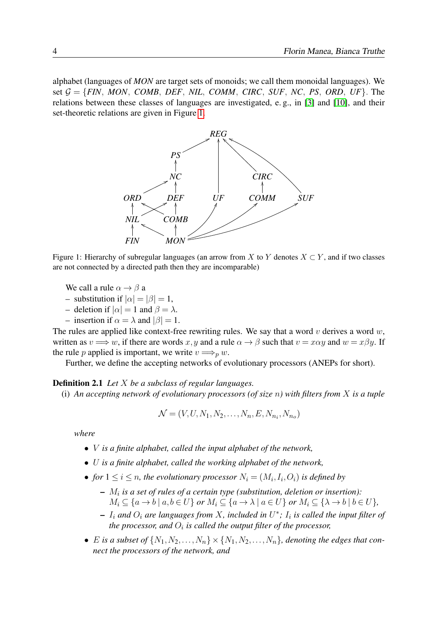alphabet (languages of *MON* are target sets of monoids; we call them monoidal languages). We set  $G = \{FIN, MON, COMB, DEF, NIL, COMM, CIRC, SUF, NC, PS, ORD, UF\}$ . The relations between these classes of languages are investigated, e. g., in [\[3\]](#page-19-9) and [\[10\]](#page-19-5), and their set-theoretic relations are given in Figure [1.](#page-3-0)



<span id="page-3-0"></span>Figure 1: Hierarchy of subregular languages (an arrow from X to Y denotes  $X \subset Y$ , and if two classes are not connected by a directed path then they are incomparable)

We call a rule  $\alpha \rightarrow \beta$  a

- substitution if  $|\alpha| = |\beta| = 1$ ,
- deletion if  $|\alpha| = 1$  and  $\beta = \lambda$ .
- insertion if  $\alpha = \lambda$  and  $|\beta| = 1$ .

The rules are applied like context-free rewriting rules. We say that a word  $v$  derives a word  $w$ , written as  $v \Longrightarrow w$ , if there are words x, y and a rule  $\alpha \to \beta$  such that  $v = x\alpha y$  and  $w = x\beta y$ . If the rule p applied is important, we write  $v \Longrightarrow_{p} w$ .

Further, we define the accepting networks of evolutionary processors (ANEPs for short).

#### Definition 2.1 *Let* X *be a subclass of regular languages.*

(i) *An accepting network of evolutionary processors (of size* n*) with filters from* X *is a tuple*

$$
\mathcal{N} = (V, U, N_1, N_2, \dots, N_n, E, N_{n_i}, N_{n_o})
$$

*where*

- V *is a finite alphabet, called the input alphabet of the network,*
- U *is a finite alphabet, called the working alphabet of the network,*
- for  $1 \le i \le n$ , the evolutionary processor  $N_i = (M_i, I_i, O_i)$  is defined by
	- $M_i$  is a set of rules of a certain type (substitution, deletion or insertion):  $M_i \subseteq \{a \rightarrow b \mid a, b \in U\}$  *or*  $M_i \subseteq \{a \rightarrow \lambda \mid a \in U\}$  *or*  $M_i \subseteq \{\lambda \rightarrow b \mid b \in U\}$ *,*
	- $I_i$  and  $O_i$  are languages from X, included in  $U^*$ ;  $I_i$  is called the input filter of the processor, and  $O_i$  is called the output filter of the processor,
- *E* is a subset of  $\{N_1, N_2, \ldots, N_n\} \times \{N_1, N_2, \ldots, N_n\}$ , denoting the edges that con*nect the processors of the network, and*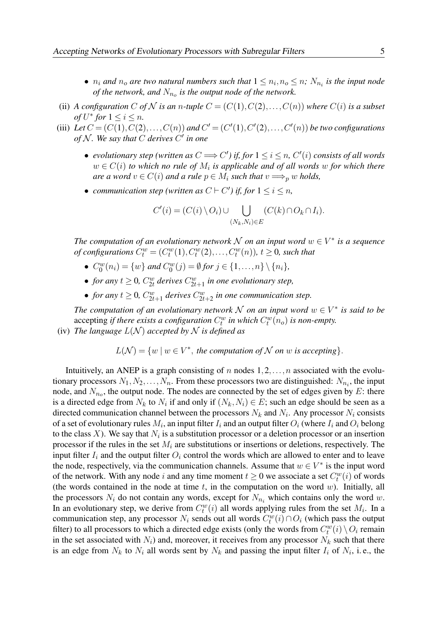- $n_i$  and  $n_o$  are two natural numbers such that  $1 \leq n_i, n_o \leq n$ ;  $N_{n_i}$  is the input node *of the network, and*  $N_{n_o}$  *is the output node of the network.*
- (ii) *A configuration C* of *N* is an *n*-tuple  $C = (C(1), C(2), \ldots, C(n))$  where  $C(i)$  is a subset *of*  $U^*$  *for*  $1 \leq i \leq n$ *.*
- (iii) Let  $C = (C(1), C(2), \ldots, C(n))$  and  $C' = (C'(1), C'(2), \ldots, C'(n))$  be two configurations *of* N *. We say that* C *derives* C 0 *in one*
	- *evolutionary step (written as*  $C \Longrightarrow C'$ *) if, for*  $1 \leq i \leq n$ ,  $C'(i)$  *consists of all words*  $w \in C(i)$  to which no rule of  $M_i$  is applicable and of all words  $w$  for which there *are a word*  $v \in C(i)$  *and a rule*  $p \in M_i$  *such that*  $v \Longrightarrow_{p} w$  *holds,*
	- *communication step (written as*  $C \vdash C'$ ) *if, for*  $1 \le i \le n$ ,

$$
C'(i) = (C(i) \setminus O_i) \cup \bigcup_{(N_k, N_i) \in E} (C(k) \cap O_k \cap I_i).
$$

*The computation of an evolutionary network*  $\mathcal N$  *on an input word*  $w \in V^*$  *is a sequence of configurations*  $C_t^w = (C_t^w(1), C_t^w(2), \ldots, C_t^w(n))$ *, t*  $\geq$  0*, such that* 

- $\bullet$   $C_0^w$  $C_0^w(n_i) = \{w\}$  and  $C_0^w$  $\binom{w}{0}(j) = \emptyset$  for  $j \in \{1, ..., n\} \setminus \{n_i\},$
- *for any*  $t \geq 0$ ,  $C_{2t}^w$  derives  $C_{2t+1}^w$  in one evolutionary step,
- *for any*  $t \geq 0$ ,  $C_{2t+1}^w$  *derives*  $C_{2t+2}^w$  *in one communication step.*

*The computation of an evolutionary network*  $N$  *on an input word*  $w \in V^*$  *is said to be* accepting *if there exists a configuration*  $C_t^w$  *in which*  $C_t^w(n_o)$  *is non-empty.* 

(iv) *The language*  $L(N)$  *accepted by*  $N$  *is defined as* 

 $L(\mathcal{N}) = \{w \mid w \in V^*$ , the computation of  $\mathcal N$  on  $w$  is accepting.

Intuitively, an ANEP is a graph consisting of n nodes  $1, 2, \ldots, n$  associated with the evolutionary processors  $N_1, N_2, \ldots, N_n$ . From these processors two are distinguished:  $N_{n_i}$ , the input node, and  $N_{n_o}$ , the output node. The nodes are connected by the set of edges given by E: there is a directed edge from  $N_k$  to  $N_i$  if and only if  $(N_k, N_i) \in E$ ; such an edge should be seen as a directed communication channel between the processors  $N_k$  and  $N_i$ . Any processor  $N_i$  consists of a set of evolutionary rules  $M_i$ , an input filter  $I_i$  and an output filter  $O_i$  (where  $I_i$  and  $O_i$  belong to the class X). We say that  $N_i$  is a substitution processor or a deletion processor or an insertion processor if the rules in the set  $M_i$  are substitutions or insertions or deletions, respectively. The input filter  $I_i$  and the output filter  $O_i$  control the words which are allowed to enter and to leave the node, respectively, via the communication channels. Assume that  $w \in V^*$  is the input word of the network. With any node i and any time moment  $t \ge 0$  we associate a set  $C_t^w(i)$  of words (the words contained in the node at time  $t$ , in the computation on the word  $w$ ). Initially, all the processors  $N_i$  do not contain any words, except for  $N_{n_i}$  which contains only the word w. In an evolutionary step, we derive from  $C_t^w(i)$  all words applying rules from the set  $M_i$ . In a communication step, any processor  $N_i$  sends out all words  $C_t^w(i) \cap O_i$  (which pass the output filter) to all processors to which a directed edge exists (only the words from  $C_t^w(i) \setminus O_i$  remain in the set associated with  $N_i$ ) and, moreover, it receives from any processor  $N_k$  such that there is an edge from  $N_k$  to  $N_i$  all words sent by  $N_k$  and passing the input filter  $I_i$  of  $N_i$ , i.e., the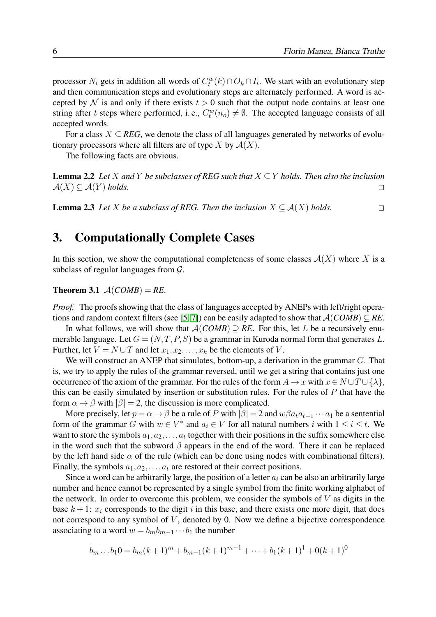processor  $N_i$  gets in addition all words of  $C_t^w(k) \cap O_k \cap I_i$ . We start with an evolutionary step and then communication steps and evolutionary steps are alternately performed. A word is accepted by N is and only if there exists  $t > 0$  such that the output node contains at least one string after t steps where performed, i.e.,  $C_t^w(n_o) \neq \emptyset$ . The accepted language consists of all accepted words.

For a class  $X \subseteq REG$ , we denote the class of all languages generated by networks of evolutionary processors where all filters are of type X by  $A(X)$ .

The following facts are obvious.

<span id="page-5-0"></span>**Lemma 2.2** *Let* X and Y *be subclasses of REG such that*  $X \subseteq Y$  *holds. Then also the inclusion*  $\mathcal{A}(X) \subseteq \mathcal{A}(Y)$  *holds.* 

<span id="page-5-2"></span>**Lemma 2.3** *Let X be a subclass of REG. Then the inclusion*  $X \subseteq A(X)$  *holds.* □

# 3. Computationally Complete Cases

In this section, we show the computational completeness of some classes  $\mathcal{A}(X)$  where X is a subclass of regular languages from  $\mathcal{G}$ .

#### <span id="page-5-1"></span>**Theorem 3.1**  $A(COMB) = RE$ .

*Proof.* The proofs showing that the class of languages accepted by ANEPs with left/right opera-tions and random context filters (see [\[5,](#page-19-3) [7\]](#page-19-2)) can be easily adapted to show that  $A(COMB) \subseteq RE$ .

In what follows, we will show that  $A(COMB) \supseteq RE$ . For this, let L be a recursively enumerable language. Let  $G = (N, T, P, S)$  be a grammar in Kuroda normal form that generates L. Further, let  $V = N \cup T$  and let  $x_1, x_2, \ldots, x_k$  be the elements of V.

We will construct an ANEP that simulates, bottom-up, a derivation in the grammar G. That is, we try to apply the rules of the grammar reversed, until we get a string that contains just one occurrence of the axiom of the grammar. For the rules of the form  $A \to x$  with  $x \in N \cup T \cup \{\lambda\}$ , this can be easily simulated by insertion or substitution rules. For the rules of  $P$  that have the form  $\alpha \rightarrow \beta$  with  $|\beta| = 2$ , the discussion is more complicated.

More precisely, let  $p = \alpha \rightarrow \beta$  be a rule of P with  $|\beta| = 2$  and  $w\beta a_t a_{t-1} \cdots a_1$  be a sentential form of the grammar G with  $w \in V^*$  and  $a_i \in V$  for all natural numbers i with  $1 \le i \le t$ . We want to store the symbols  $a_1, a_2, \ldots, a_t$  together with their positions in the suffix somewhere else in the word such that the subword  $\beta$  appears in the end of the word. There it can be replaced by the left hand side  $\alpha$  of the rule (which can be done using nodes with combinational filters). Finally, the symbols  $a_1, a_2, \ldots, a_t$  are restored at their correct positions.

Since a word can be arbitrarily large, the position of a letter  $a_i$  can be also an arbitrarily large number and hence cannot be represented by a single symbol from the finite working alphabet of the network. In order to overcome this problem, we consider the symbols of  $V$  as digits in the base  $k+1$ :  $x_i$  corresponds to the digit i in this base, and there exists one more digit, that does not correspond to any symbol of  $V$ , denoted by 0. Now we define a bijective correspondence associating to a word  $w = b_m b_{m-1} \cdots b_1$  the number

$$
\overline{b_m \dots b_1 0} = b_m (k+1)^m + b_{m-1} (k+1)^{m-1} + \dots + b_1 (k+1)^1 + 0(k+1)^0
$$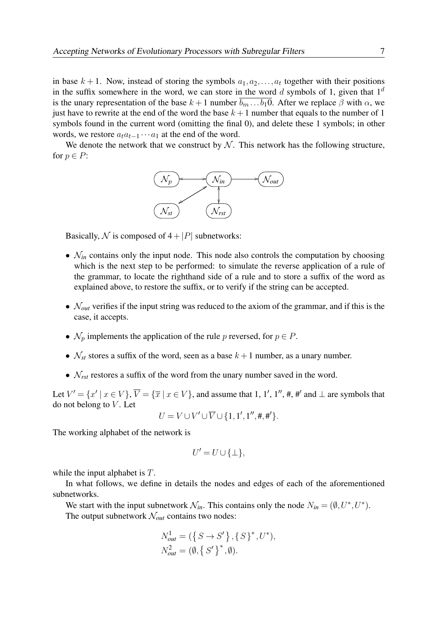in base  $k + 1$ . Now, instead of storing the symbols  $a_1, a_2, \ldots, a_t$  together with their positions in the suffix somewhere in the word, we can store in the word d symbols of 1, given that  $1<sup>d</sup>$ is the unary representation of the base  $k + 1$  number  $\overline{b_m \dots b_1 0}$ . After we replace  $\beta$  with  $\alpha$ , we just have to rewrite at the end of the word the base  $k + 1$  number that equals to the number of 1 symbols found in the current word (omitting the final 0), and delete these 1 symbols; in other words, we restore  $a_t a_{t-1} \cdots a_1$  at the end of the word.

We denote the network that we construct by  $N$ . This network has the following structure, for  $p \in P$ :



Basically, N is composed of  $4+|P|$  subnetworks:

- $\mathcal{N}_{in}$  contains only the input node. This node also controls the computation by choosing which is the next step to be performed: to simulate the reverse application of a rule of the grammar, to locate the righthand side of a rule and to store a suffix of the word as explained above, to restore the suffix, or to verify if the string can be accepted.
- $\mathcal{N}_{out}$  verifies if the input string was reduced to the axiom of the grammar, and if this is the case, it accepts.
- $\mathcal{N}_p$  implements the application of the rule p reversed, for  $p \in P$ .
- $\mathcal{N}_{st}$  stores a suffix of the word, seen as a base  $k+1$  number, as a unary number.
- $\mathcal{N}_{rst}$  restores a suffix of the word from the unary number saved in the word.

Let  $V' = \{x' \mid x \in V\}$ ,  $\overline{V} = \{\overline{x} \mid x \in V\}$ , and assume that 1, 1', 1'', #, #' and  $\perp$  are symbols that do not belong to  $V$ . Let

$$
U = V \cup V' \cup \overline{V} \cup \{1, 1', 1'', \#, \#'\}.
$$

The working alphabet of the network is

$$
U'=U\cup\{\perp\},\
$$

while the input alphabet is T.

In what follows, we define in details the nodes and edges of each of the aforementioned subnetworks.

We start with the input subnetwork  $\mathcal{N}_{in}$ . This contains only the node  $N_{in} = (\emptyset, U^*, U^*)$ . The output subnetwork  $\mathcal{N}_{out}$  contains two nodes:

$$
N_{out}^{1} = (\{ S \to S' \}, \{ S \}^{*}, U^{*}),
$$
  

$$
N_{out}^{2} = (\emptyset, \{ S' \}^{*}, \emptyset).
$$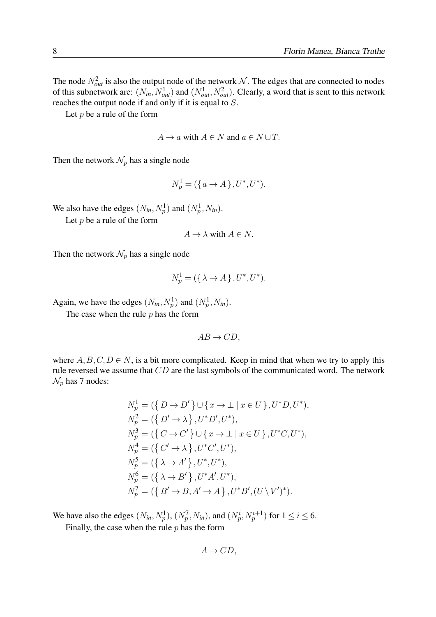The node  $N_{out}^2$  is also the output node of the network N. The edges that are connected to nodes of this subnetwork are:  $(N_{in}, N_{out}^1)$  and  $(N_{out}^1, N_{out}^2)$ . Clearly, a word that is sent to this network reaches the output node if and only if it is equal to S.

Let  $p$  be a rule of the form

$$
A \to a \text{ with } A \in N \text{ and } a \in N \cup T.
$$

Then the network  $\mathcal{N}_p$  has a single node

$$
N_p^1 = (\{a \to A\}, U^*, U^*).
$$

We also have the edges  $(N_{in}, N_p^1)$  and  $(N_p^1, N_{in})$ .

Let  $p$  be a rule of the form

$$
A \to \lambda \text{ with } A \in N.
$$

Then the network  $\mathcal{N}_p$  has a single node

$$
N_p^1 = (\{\lambda \to A\}, U^*, U^*).
$$

Again, we have the edges  $(N_{in}, N_p^1)$  and  $(N_p^1, N_{in})$ .

The case when the rule  $p$  has the form

 $AB \rightarrow CD$ .

where  $A, B, C, D \in N$ , is a bit more complicated. Keep in mind that when we try to apply this rule reversed we assume that CD are the last symbols of the communicated word. The network  $\mathcal{N}_p$  has 7 nodes:

$$
N_p^1 = (\{ D \to D' \} \cup \{ x \to \bot \mid x \in U \}, U^* D, U^*),
$$
  
\n
$$
N_p^2 = (\{ D' \to \lambda \}, U^* D', U^*),
$$
  
\n
$$
N_p^3 = (\{ C \to C' \} \cup \{ x \to \bot \mid x \in U \}, U^* C, U^*),
$$
  
\n
$$
N_p^4 = (\{ C' \to \lambda \}, U^* C', U^*),
$$
  
\n
$$
N_p^5 = (\{ \lambda \to A' \}, U^*, U^*),
$$
  
\n
$$
N_p^6 = (\{ \lambda \to B' \}, U^* A', U^*),
$$
  
\n
$$
N_p^7 = (\{ B' \to B, A' \to A \}, U^* B', (U \setminus V')^*).
$$

We have also the edges  $(N_{in}, N_p^1)$ ,  $(N_p^7, N_{in})$ , and  $(N_p^i, N_p^{i+1})$  for  $1 \le i \le 6$ .

Finally, the case when the rule  $p$  has the form

$$
A \to CD,
$$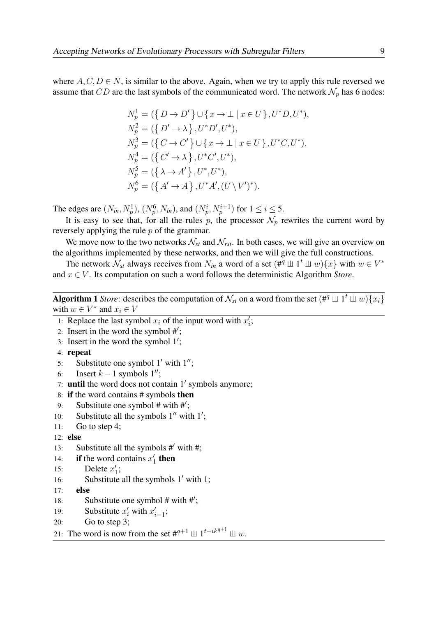where  $A, C, D \in \mathbb{N}$ , is similar to the above. Again, when we try to apply this rule reversed we assume that CD are the last symbols of the communicated word. The network  $\mathcal{N}_p$  has 6 nodes:

$$
N_p^1 = (\{ D \to D' \} \cup \{ x \to \bot \mid x \in U \}, U^* D, U^*),
$$
  
\n
$$
N_p^2 = (\{ D' \to \lambda \}, U^* D', U^*),
$$
  
\n
$$
N_p^3 = (\{ C \to C' \} \cup \{ x \to \bot \mid x \in U \}, U^* C, U^*),
$$
  
\n
$$
N_p^4 = (\{ C' \to \lambda \}, U^* C', U^*),
$$
  
\n
$$
N_p^5 = (\{ \lambda \to A' \}, U^*, U^*),
$$
  
\n
$$
N_p^6 = (\{ A' \to A \}, U^* A', (U \setminus V')^*).
$$

The edges are  $(N_{in}, N_p^1)$ ,  $(N_p^6, N_{in})$ , and  $(N_p^i, N_p^{i+1})$  for  $1 \le i \le 5$ .

It is easy to see that, for all the rules p, the processor  $\mathcal{N}_p$  rewrites the current word by reversely applying the rule p of the grammar.

We move now to the two networks  $\mathcal{N}_{st}$  and  $\mathcal{N}_{rst}$ . In both cases, we will give an overview on the algorithms implemented by these networks, and then we will give the full constructions.

The network  $\mathcal{N}_{st}$  always receives from  $N_{in}$  a word of a set  $(\#^q \perp \!\!\! \perp 1^t \perp \!\!\! \perp w)$  {x} with  $w \in V^*$ and x ∈ V . Its computation on such a word follows the deterministic Algorithm *Store*.

Algorithm 1 *Store*: describes the computation of  $\mathcal{N}_{st}$  on a word from the set  $(\#^q \perp \!\!\! \perp 1^t \perp \!\!\! \perp w) \{x_i\}$ with  $w \in V^*$  and  $x_i \in V$ 

- 1: Replace the last symbol  $x_i$  of the input word with  $x'_i$ ;
- 2: Insert in the word the symbol  $\#$ ;
- 3: Insert in the word the symbol  $1$ <sup>'</sup>;
- 4: repeat
- 5: Substitute one symbol  $1'$  with  $1''$ ;
- 6: Insert  $k 1$  symbols  $1''$ ;
- 7: until the word does not contain  $1'$  symbols anymore;
- 8: if the word contains # symbols then
- 9: Substitute one symbol  $#$  with  $#$ ;
- 10: Substitute all the symbols  $1''$  with  $1'$ ;
- 11: Go to step 4;

```
12: else
```
- 13: Substitute all the symbols  $#$  with  $#$ ;
- 14: **if** the word contains  $x_1$  $\frac{7}{1}$  then
- 15: Delete  $x_1'$  $'_{1}$ ;
- 16: Substitute all the symbols  $1'$  with 1;
- 17: else
- 18: Substitute one symbol  $#$  with  $#$ ;
- 19: Substitute  $x'_i$  with  $x'_{i-1}$ ;
- 20: Go to step 3;

21: The word is now from the set  $#^{q+1} \mathop{\perp\!\!\!\perp} 1^{t+ik^{q+1}} \mathop{\perp\!\!\!\perp} w$ .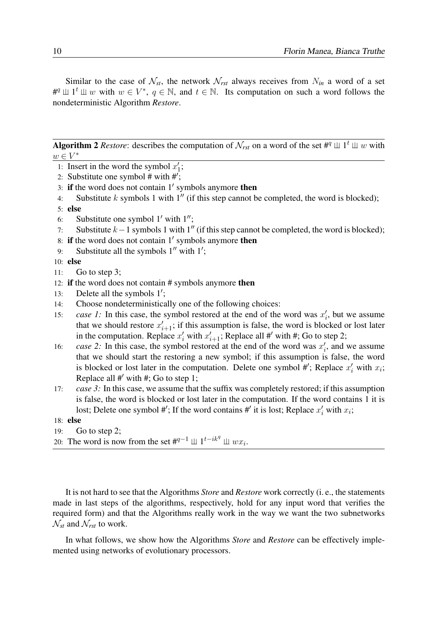Similar to the case of  $\mathcal{N}_{st}$ , the network  $\mathcal{N}_{rst}$  always receives from  $N_{in}$  a word of a set # $\mathfrak{p}$   $\perp$   $\perp$   $\mathfrak{p}$  with  $w \in V^*$ ,  $q \in \mathbb{N}$ , and  $t \in \mathbb{N}$ . Its computation on such a word follows the nondeterministic Algorithm *Restore*.

Algorithm 2 *Restore*: describes the computation of  $\mathcal{N}_{rst}$  on a word of the set #<sup>q</sup>  $\perp \!\!\! \perp 1^t \perp \!\!\! \perp w$  with  $w \in V^*$ 

- 1: Insert in the word the symbol  $x_1$  $\frac{1}{1}$ ;
- 2: Substitute one symbol # with  $\#$ ;
- 3: if the word does not contain  $1'$  symbols anymore then
- 4: Substitute k symbols 1 with  $1''$  (if this step cannot be completed, the word is blocked);
- 5: else
- 6: Substitute one symbol  $1'$  with  $1''$ ;
- 7: Substitute  $k-1$  symbols 1 with 1<sup>"</sup> (if this step cannot be completed, the word is blocked);
- 8: if the word does not contain  $1'$  symbols anymore then
- 9: Substitute all the symbols  $1''$  with  $1'$ ;

10: else

- 11: Go to step 3;
- 12: if the word does not contain # symbols anymore then
- 13: Delete all the symbols  $1'$ ;
- 14: Choose nondeterministically one of the following choices:
- 15: *case 1*: In this case, the symbol restored at the end of the word was  $x'_i$ , but we assume that we should restore  $x_i'$  $i_{i+1}$ ; if this assumption is false, the word is blocked or lost later in the computation. Replace  $x'_i$  with  $x'_i$  $i_{i+1}$ ; Replace all #' with #; Go to step 2;
- 16: *case 2*: In this case, the symbol restored at the end of the word was  $x'_i$ , and we assume that we should start the restoring a new symbol; if this assumption is false, the word is blocked or lost later in the computation. Delete one symbol #'; Replace  $x'_i$  with  $x_i$ ; Replace all  $#$  with  $#$ ; Go to step 1;
- 17: *case 3*: In this case, we assume that the suffix was completely restored; if this assumption is false, the word is blocked or lost later in the computation. If the word contains 1 it is lost; Delete one symbol #'; If the word contains #' it is lost; Replace  $x'_i$  with  $x_i$ ;
- 18: else
- 19: Go to step 2;
- 20: The word is now from the set  $#^{q-1} \perp \perp 1^{t-ik^q} \perp \perp w x_i$ .

It is not hard to see that the Algorithms *Store* and *Restore* work correctly (i. e., the statements made in last steps of the algorithms, respectively, hold for any input word that verifies the required form) and that the Algorithms really work in the way we want the two subnetworks  $\mathcal{N}_{st}$  and  $\mathcal{N}_{rst}$  to work.

In what follows, we show how the Algorithms *Store* and *Restore* can be effectively implemented using networks of evolutionary processors.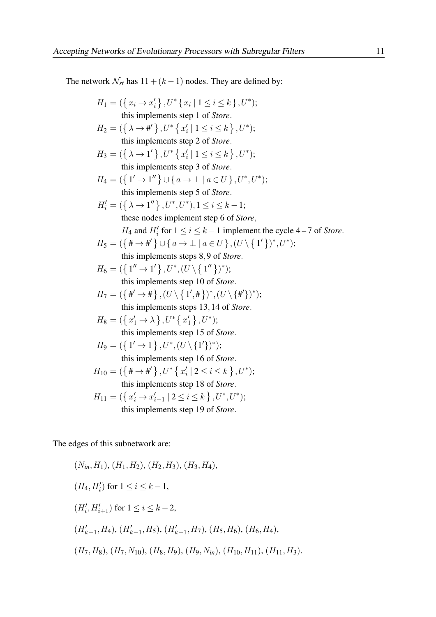The network  $\mathcal{N}_{st}$  has  $11 + (k - 1)$  nodes. They are defined by:

$$
H_1 = (\{x_i \rightarrow x'_i\}, U^* \{x_i \mid 1 \le i \le k\}, U^*);
$$
\nthis implements step 1 of *Store*.  
\n
$$
H_2 = (\{\lambda \rightarrow \#'\}, U^* \{x'_i \mid 1 \le i \le k\}, U^*);
$$
\nthis implements step 2 of *Store*.  
\n
$$
H_3 = (\{\lambda \rightarrow 1'\}, U^* \{x'_i \mid 1 \le i \le k\}, U^*);
$$
\nthis implements step 3 of *Store*.  
\n
$$
H_4 = (\{1' \rightarrow 1''\} \cup \{a \rightarrow \bot \mid a \in U\}, U^*, U^*);
$$
\nthis implements step 5 of *Store*.  
\n
$$
H'_i = (\{\lambda \rightarrow 1''\}, U^*, U^*), 1 \le i \le k - 1;
$$
\nthese nodes implement step 6 of *Store*,  
\n
$$
H_4
$$
 and  $H'_i$  for  $1 \le i \le k - 1$  implement the cycle 4 – 7 of *Store*.  
\n
$$
H_5 = (\{\# \rightarrow \#'\} \cup \{a \rightarrow \bot \mid a \in U\}, (U \setminus \{1'\})^*, U^*);
$$
\nthis implements steps 8,9 of *Store*.  
\n
$$
H_6 = (\{1'' \rightarrow 1'\}, U^*, (U \setminus \{1''\})^*);
$$
\nthis implements step 10 of *Store*.  
\n
$$
H_7 = (\{\#' \rightarrow \# \}, (U \setminus \{1', \#\})^*, (U \setminus \{\#'\})^*);
$$
\nthis implements step 13, 14 of *Store*.  
\n
$$
H_8 = (\{x'_1 \rightarrow \lambda\}, U^* \{x'_1\}, U^*);
$$
\nthis implements step 15 of *Store*.  
\n
$$
H_9 = (\{1' \rightarrow 1\}, U^*, (U \setminus \{1'\})^*);
$$
\nthis implements step 16 of *Store*.  
\n
$$
H_{10} = (\{\# \rightarrow \#'\}, U^* \{\{x'_i \mid 2 \le i \le k\}, U^*);
$$
\nthis implements step 18 of *Store*.<

The edges of this subnetwork are:

$$
(N_{in}, H_1), (H_1, H_2), (H_2, H_3), (H_3, H_4),
$$
  
\n
$$
(H_4, H'_i) \text{ for } 1 \le i \le k - 1,
$$
  
\n
$$
(H'_i, H'_{i+1}) \text{ for } 1 \le i \le k - 2,
$$
  
\n
$$
(H'_{k-1}, H_4), (H'_{k-1}, H_5), (H'_{k-1}, H_7), (H_5, H_6), (H_6, H_4),
$$
  
\n
$$
(H_7, H_8), (H_7, N_{10}), (H_8, H_9), (H_9, N_{in}), (H_{10}, H_{11}), (H_{11}, H_3).
$$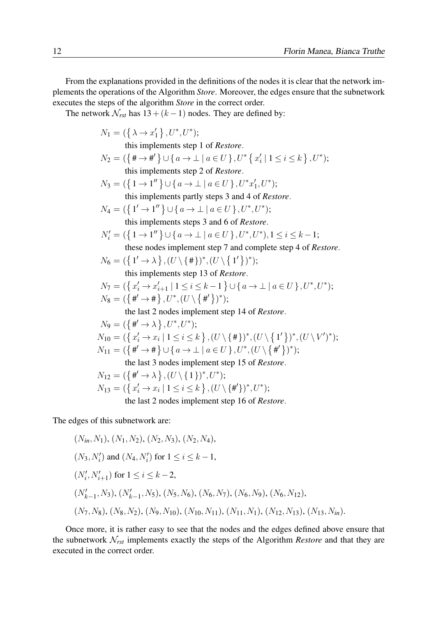From the explanations provided in the definitions of the nodes it is clear that the network implements the operations of the Algorithm *Store*. Moreover, the edges ensure that the subnetwork executes the steps of the algorithm *Store* in the correct order.

The network  $\mathcal{N}_{rst}$  has  $13 + (k - 1)$  nodes. They are defined by:

$$
N_1 = (\{\lambda \rightarrow x'_1\}, U^*, U^*);
$$
  
\nthis implements step 1 of *Restore*.  
\n
$$
N_2 = (\{\#\rightarrow \#\}) \cup \{a \rightarrow \bot | a \in U\}, U^* \{x'_i | 1 \le i \le k\}, U^*);
$$
  
\nthis implements step 2 of *Restore*.  
\n
$$
N_3 = (\{1 \rightarrow 1''\} \cup \{a \rightarrow \bot | a \in U\}, U^*x'_1, U^*);
$$
  
\nthis implements partly steps 3 and 4 of *Restore*.  
\n
$$
N_4 = (\{1' \rightarrow 1''\} \cup \{a \rightarrow \bot | a \in U\}, U^*, U^*);
$$
  
\nthis implements steps 3 and 6 of *Restore*.  
\n
$$
N'_i = (\{1 \rightarrow 1''\} \cup \{a \rightarrow \bot | a \in U\}, U^*, U^*);
$$
  
\nthis implements steps 3 and 6 of *Restore*.  
\n
$$
N'_i = (\{1 \rightarrow 1''\} \cup \{a \rightarrow \bot | a \in U\}, U^*, U^*);
$$
  
\nthis implements step 7 and complete step 4 of *Restore*.  
\n
$$
N_6 = (\{1' \rightarrow \lambda\}, (U \setminus \{\#\})^*, (U \setminus \{1'\})^*);
$$
  
\nthis implements step 13 of *Restore*.  
\n
$$
N_7 = (\{x'_i \rightarrow x'_{i+1} | 1 \le i \le k-1\} \cup \{a \rightarrow \bot | a \in U\}, U^*, U^*);
$$
  
\n
$$
N_8 = (\{\#\rightarrow \#\}, U^*, (U \setminus \{\#\})^*);
$$
  
\nthe last 2 nodes implement step 14 of *Restore*.  
\n
$$
N_9 = (\{\#\rightarrow \lambda\}, U^*, U^*);
$$
  
\n
$$
N_{10} = (\{\pi'_i \rightarrow x_i | 1 \le i \le k\}, (U \setminus \{\#\})^*, (U \setminus \{\#\})^*);
$$
  
\n
$$
N_{11} = (\{\#\rightarrow \#\} \cup \{a \rightarrow \bot | a \in U\}, U^*, (U \setminus \{\#\})^*);
$$
  
\nthe

The edges of this subnetwork are:

$$
(N_{in}, N_1), (N_1, N_2), (N_2, N_3), (N_2, N_4),
$$
  
\n
$$
(N_3, N'_i) \text{ and } (N_4, N'_i) \text{ for } 1 \le i \le k - 1,
$$
  
\n
$$
(N'_i, N'_{i+1}) \text{ for } 1 \le i \le k - 2,
$$
  
\n
$$
(N'_{k-1}, N_3), (N'_{k-1}, N_5), (N_5, N_6), (N_6, N_7), (N_6, N_9), (N_6, N_{12}),
$$
  
\n
$$
(N_7, N_8), (N_8, N_2), (N_9, N_{10}), (N_{10}, N_{11}), (N_{11}, N_1), (N_{12}, N_{13}), (N_{13}, N_{in}).
$$

Once more, it is rather easy to see that the nodes and the edges defined above ensure that the subnetwork N*rst* implements exactly the steps of the Algorithm *Restore* and that they are executed in the correct order.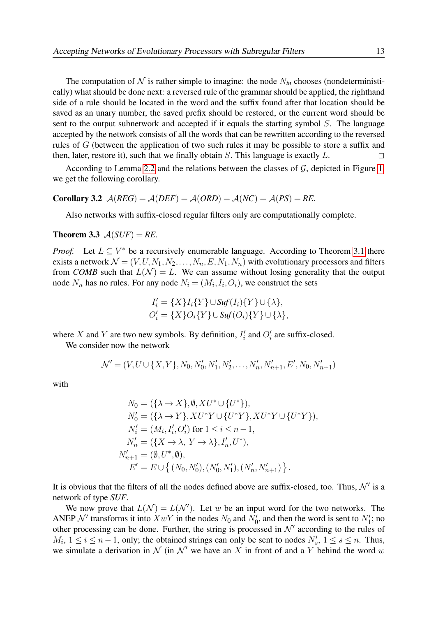The computation of  $N$  is rather simple to imagine: the node  $N_{in}$  chooses (nondeterministically) what should be done next: a reversed rule of the grammar should be applied, the righthand side of a rule should be located in the word and the suffix found after that location should be saved as an unary number, the saved prefix should be restored, or the current word should be sent to the output subnetwork and accepted if it equals the starting symbol  $S$ . The language accepted by the network consists of all the words that can be rewritten according to the reversed rules of G (between the application of two such rules it may be possible to store a suffix and then, later, restore it), such that we finally obtain  $S$ . This language is exactly  $L$ .

According to Lemma [2.2](#page-5-0) and the relations between the classes of  $G$ , depicted in Figure [1,](#page-3-0) we get the following corollary.

#### Corollary 3.2  $A(REG) = A(DEF) = A(ORD) = A(NC) = A(PS) = RE$ .

<span id="page-12-0"></span>Also networks with suffix-closed regular filters only are computationally complete.

#### **Theorem 3.3**  $A(SUF) = RE$ .

*Proof.* Let  $L \subseteq V^*$  be a recursively enumerable language. According to Theorem [3.1](#page-5-1) there exists a network  $\mathcal{N} = (V, U, N_1, N_2, \ldots, N_n, E, N_1, N_n)$  with evolutionary processors and filters from *COMB* such that  $L(\mathcal{N}) = L$ . We can assume without losing generality that the output node  $N_n$  has no rules. For any node  $N_i = (M_i, I_i, O_i)$ , we construct the sets

$$
I'_{i} = \{X\}I_{i}\{Y\} \cup \text{Suf}(I_{i})\{Y\} \cup \{\lambda\},
$$
  

$$
O'_{i} = \{X\}O_{i}\{Y\} \cup \text{Suf}(O_{i})\{Y\} \cup \{\lambda\}
$$

where X and Y are two new symbols. By definition,  $I'_i$  and  $O'_i$  are suffix-closed.

We consider now the network

$$
\mathcal{N}' = (V, U \cup \{X, Y\}, N_0, N'_0, N'_1, N'_2, \dots, N'_n, N'_{n+1}, E', N_0, N'_{n+1})
$$

with

$$
N_0 = (\{\lambda \to X\}, \emptyset, XU^* \cup \{U^*\}),
$$
  
\n
$$
N'_0 = (\{\lambda \to Y\}, XU^*Y \cup \{U^*Y\}, XU^*Y \cup \{U^*Y\}),
$$
  
\n
$$
N'_i = (M_i, I'_i, O'_i) \text{ for } 1 \le i \le n - 1,
$$
  
\n
$$
N'_n = (\{X \to \lambda, Y \to \lambda\}, I'_n, U^*),
$$
  
\n
$$
N'_{n+1} = (\emptyset, U^*, \emptyset),
$$
  
\n
$$
E' = E \cup \{ (N_0, N'_0), (N'_0, N'_1), (N'_n, N'_{n+1}) \}.
$$

It is obvious that the filters of all the nodes defined above are suffix-closed, too. Thus,  $\mathcal{N}'$  is a network of type *SUF*.

We now prove that  $L(\mathcal{N}) = L(\mathcal{N}')$ . Let w be an input word for the two networks. The ANEP  $\mathcal{N}'$  transforms it into  $XwY$  in the nodes  $N_0$  and  $N'_0$ , and then the word is sent to  $N'_1$ ; no other processing can be done. Further, the string is processed in  $\mathcal{N}'$  according to the rules of  $M_i$ ,  $1 \le i \le n-1$ , only; the obtained strings can only be sent to nodes  $N'_s$ ,  $1 \le s \le n$ . Thus, we simulate a derivation in N (in N' we have an X in front of and a Y behind the word w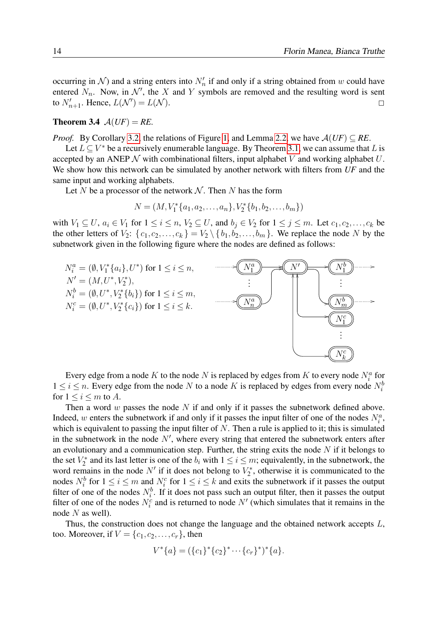occurring in N) and a string enters into  $N'_n$  if and only if a string obtained from w could have entered  $N_n$ . Now, in  $\mathcal{N}'$ , the X and Y symbols are removed and the resulting word is sent to  $N'_{n+1}$ . Hence,  $L(\mathcal{N}') = L(\mathcal{N})$ .

#### **Theorem 3.4**  $A(UF) = RE$ .

*Proof.* By Corollary [3.2,](#page-12-0) the relations of Figure [1,](#page-3-0) and Lemma [2.2,](#page-5-0) we have  $A(UF) \subseteq RE$ .

Let  $L \subseteq V^*$  be a recursively enumerable language. By Theorem [3.1,](#page-5-1) we can assume that L is accepted by an ANEP  $\mathcal N$  with combinational filters, input alphabet  $V$  and working alphabet  $U$ . We show how this network can be simulated by another network with filters from *UF* and the same input and working alphabets.

Let N be a processor of the network  $N$ . Then N has the form

$$
N = (M, V_1^* \{a_1, a_2, \dots, a_n\}, V_2^* \{b_1, b_2, \dots, b_m\})
$$

with  $V_1 \subseteq U$ ,  $a_i \in V_1$  for  $1 \le i \le n$ ,  $V_2 \subseteq U$ , and  $b_j \in V_2$  for  $1 \le j \le m$ . Let  $c_1, c_2, \ldots, c_k$  be the other letters of  $V_2$ :  $\{c_1, c_2, \ldots, c_k\} = V_2 \setminus \{b_1, b_2, \ldots, b_m\}$ . We replace the node N by the subnetwork given in the following figure where the nodes are defined as follows:



Every edge from a node K to the node N is replaced by edges from K to every node  $N_i^a$  for  $1 \le i \le n$ . Every edge from the node N to a node K is replaced by edges from every node  $N_i^b$ for  $1 \leq i \leq m$  to A.

Then a word w passes the node N if and only if it passes the subnetwork defined above. Indeed, w enters the subnetwork if and only if it passes the input filter of one of the nodes  $N_i^a$ , which is equivalent to passing the input filter of  $N$ . Then a rule is applied to it; this is simulated in the subnetwork in the node  $N'$ , where every string that entered the subnetwork enters after an evolutionary and a communication step. Further, the string exits the node  $N$  if it belongs to the set  $V_2^*$  $Z_2^*$  and its last letter is one of the  $b_i$  with  $1 \le i \le m$ ; equivalently, in the subnetwork, the word remains in the node N' if it does not belong to  $V_2^*$  $\chi^*_{2}$ , otherwise it is communicated to the nodes  $N_i^b$  for  $1 \le i \le m$  and  $N_i^c$  for  $1 \le i \le k$  and exits the subnetwork if it passes the output filter of one of the nodes  $N_i^b$ . If it does not pass such an output filter, then it passes the output filter of one of the nodes  $N_i^c$  and is returned to node  $N'$  (which simulates that it remains in the node  $N$  as well).

Thus, the construction does not change the language and the obtained network accepts L, too. Moreover, if  $V = \{c_1, c_2, \ldots, c_r\}$ , then

$$
V^*\{a\} = (\{c_1\}^*\{c_2\}^*\cdots\{c_r\}^*)^*\{a\}.
$$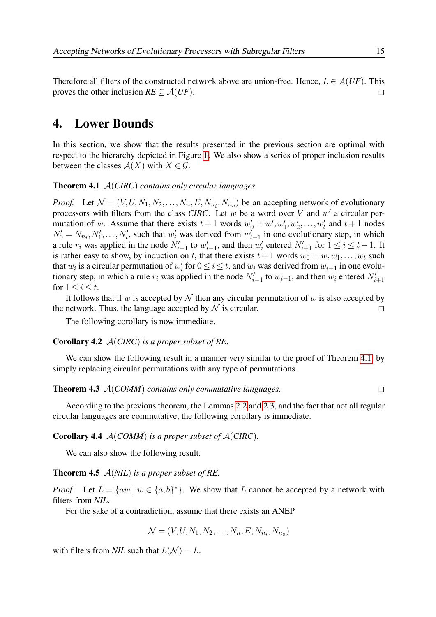Therefore all filters of the constructed network above are union-free. Hence,  $L \in \mathcal{A}(UF)$ . This proves the other inclusion  $RE \subseteq \mathcal{A}(UF)$ .

## 4. Lower Bounds

<span id="page-14-0"></span>In this section, we show that the results presented in the previous section are optimal with respect to the hierarchy depicted in Figure [1.](#page-3-0) We also show a series of proper inclusion results between the classes  $A(X)$  with  $X \in \mathcal{G}$ .

Theorem 4.1 A(*CIRC*) *contains only circular languages.*

*Proof.* Let  $\mathcal{N} = (V, U, N_1, N_2, \dots, N_n, E, N_{n_i}, N_{n_o})$  be an accepting network of evolutionary processors with filters from the class *CIRC*. Let  $w$  be a word over  $V$  and  $w'$  a circular permutation of w. Assume that there exists  $t + 1$  words  $w'_0 = w', w'_1, w'_2, \dots, w'_t$  and  $t + 1$  nodes  $N'_0 = N_{n_i}, N'_1, \ldots, N'_t$ , such that  $w'_i$  was derived from  $w'_{i-1}$  in one evolutionary step, in which a rule  $r_i$  was applied in the node  $N'_{i-1}$  to  $w'_{i-1}$ , and then  $w'_i$  entered  $N'_{i+1}$  for  $1 \le i \le t-1$ . It is rather easy to show, by induction on t, that there exists  $t+1$  words  $w_0 = w, w_1, \ldots, w_t$  such that  $w_i$  is a circular permutation of  $w'_i$  for  $0 \le i \le t$ , and  $w_i$  was derived from  $w_{i-1}$  in one evolutionary step, in which a rule  $r_i$  was applied in the node  $N'_{i-1}$  to  $w_{i-1}$ , and then  $w_i$  entered  $N'_{i+1}$ for  $1 \leq i \leq t$ .

It follows that if w is accepted by  $\mathcal N$  then any circular permutation of w is also accepted by the network. Thus, the language accepted by  $\mathcal N$  is circular.

The following corollary is now immediate.

#### Corollary 4.2 A(*CIRC*) *is a proper subset of RE.*

We can show the following result in a manner very similar to the proof of Theorem [4.1,](#page-14-0) by simply replacing circular permutations with any type of permutations.

Theorem 4.3 <sup>A</sup>(*COMM*) *contains only commutative languages.* <sup>2</sup>

According to the previous theorem, the Lemmas [2.2](#page-5-0) and [2.3,](#page-5-2) and the fact that not all regular circular languages are commutative, the following corollary is immediate.

#### Corollary 4.4 A(*COMM*) *is a proper subset of* A(*CIRC*)*.*

We can also show the following result.

#### Theorem 4.5 A(*NIL*) *is a proper subset of RE.*

*Proof.* Let  $L = \{aw \mid w \in \{a, b\}^*\}$ . We show that L cannot be accepted by a network with filters from *NIL*.

For the sake of a contradiction, assume that there exists an ANEP

<span id="page-14-2"></span><span id="page-14-1"></span>
$$
\mathcal{N} = (V, U, N_1, N_2, \dots, N_n, E, N_{n_i}, N_{n_o})
$$

with filters from *NIL* such that  $L(\mathcal{N}) = L$ .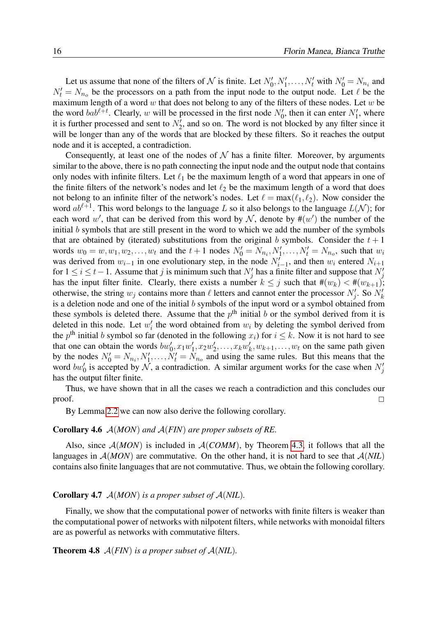Let us assume that none of the filters of N is finite. Let  $N'_0, N'_1, \ldots, N'_t$  with  $N'_0 = N_{n_i}$  and  $N_t' = N_{n_o}$  be the processors on a path from the input node to the output node. Let  $\ell$  be the maximum length of a word  $w$  that does not belong to any of the filters of these nodes. Let  $w$  be the word  $bab^{\ell+t}$ . Clearly, w will be processed in the first node  $N'_0$ , then it can enter  $N'_1$ , where it is further processed and sent to  $N'_2$ , and so on. The word is not blocked by any filter since it will be longer than any of the words that are blocked by these filters. So it reaches the output node and it is accepted, a contradiction.

Consequently, at least one of the nodes of  $N$  has a finite filter. Moreover, by arguments similar to the above, there is no path connecting the input node and the output node that contains only nodes with infinite filters. Let  $\ell_1$  be the maximum length of a word that appears in one of the finite filters of the network's nodes and let  $\ell_2$  be the maximum length of a word that does not belong to an infinite filter of the network's nodes. Let  $\ell = \max(\ell_1, \ell_2)$ . Now consider the word  $ab^{\ell+1}$ . This word belongs to the language L so it also belongs to the language  $L(\mathcal{N})$ ; for each word w', that can be derived from this word by N, denote by  $\#(w')$  the number of the initial  $b$  symbols that are still present in the word to which we add the number of the symbols that are obtained by (iterated) substitutions from the original b symbols. Consider the  $t + 1$ words  $w_0 = w, w_1, w_2, \dots, w_t$  and the  $t + 1$  nodes  $N'_0 = N_{n_i}, N'_1, \dots, N'_t = N_{n_o}$ , such that  $w_i$ was derived from  $w_{i-1}$  in one evolutionary step, in the node  $N'_{i-1}$ , and then  $w_i$  entered  $N_{i+1}$ for  $1 \le i \le t-1$ . Assume that j is minimum such that  $N'_j$  has a finite filter and suppose that  $N'_j$ has the input filter finite. Clearly, there exists a number  $k \leq j$  such that  $\#(w_k) < \#(w_{k+1})$ ; otherwise, the string  $w_j$  contains more than  $\ell$  letters and cannot enter the processor  $N'_j$ . So  $N'_k$ is a deletion node and one of the initial  $b$  symbols of the input word or a symbol obtained from these symbols is deleted there. Assume that the  $p<sup>th</sup>$  initial b or the symbol derived from it is deleted in this node. Let  $w'_i$  the word obtained from  $w_i$  by deleting the symbol derived from the  $p^{\text{th}}$  initial b symbol so far (denoted in the following  $x_i$ ) for  $i \leq k$ . Now it is not hard to see that one can obtain the words  $bw'_0$ ,  $x_1w'_1$  $x_1', x_2w_2'$  $x_2',\ldots,x_kw_k'$  $k'$ ,  $w_{k+1}, \ldots, w_t$  on the same path given by the nodes  $N'_0 = N_{n_i}, N'_1, \ldots, N'_t = N_{n_o}$  and using the same rules. But this means that the word  $bw'_0$  is accepted by  $\hat{N}$ , a contradiction. A similar argument works for the case when  $N'_j$ has the output filter finite.

Thus, we have shown that in all the cases we reach a contradiction and this concludes our proof.  $\Box$ 

By Lemma [2.2](#page-5-0) we can now also derive the following corollary.

#### Corollary 4.6 A(*MON*) *and* A(*FIN*) *are proper subsets of RE.*

Also, since  $A(MON)$  is included in  $A(COMM)$ , by Theorem [4.3,](#page-14-1) it follows that all the languages in  $A(MON)$  are commutative. On the other hand, it is not hard to see that  $A(NIL)$ contains also finite languages that are not commutative. Thus, we obtain the following corollary.

#### Corollary 4.7 A(*MON*) *is a proper subset of* A(*NIL*)*.*

Finally, we show that the computational power of networks with finite filters is weaker than the computational power of networks with nilpotent filters, while networks with monoidal filters are as powerful as networks with commutative filters.

**Theorem 4.8**  $A(FIN)$  *is a proper subset of*  $A(NIL)$ *.*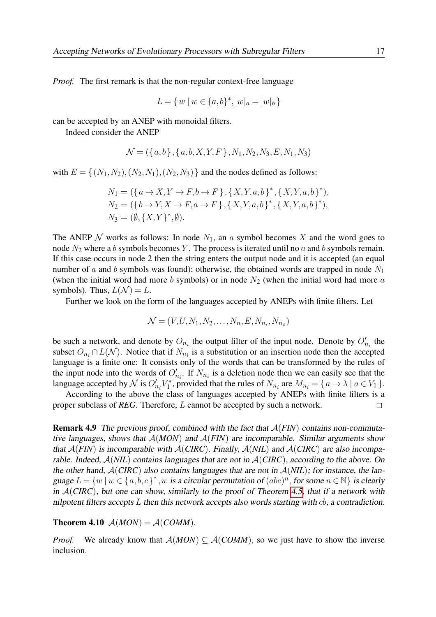*Proof.* The first remark is that the non-regular context-free language

$$
L = \{ w \mid w \in \{a, b\}^*, |w|_a = |w|_b \}
$$

can be accepted by an ANEP with monoidal filters.

Indeed consider the ANEP

$$
\mathcal{N} = (\{a, b\}, \{a, b, X, Y, F\}, N_1, N_2, N_3, E, N_1, N_3)
$$

with  $E = \{(N_1,N_2),(N_2,N_1),(N_2,N_3)\}\$  and the nodes defined as follows:

$$
N_1 = (\{a \to X, Y \to F, b \to F\}, \{X, Y, a, b\}^*, \{X, Y, a, b\}^*),
$$
  
\n
$$
N_2 = (\{b \to Y, X \to F, a \to F\}, \{X, Y, a, b\}^*, \{X, Y, a, b\}^*),
$$
  
\n
$$
N_3 = (\emptyset, \{X, Y\}^*, \emptyset).
$$

The ANEP  $N$  works as follows: In node  $N_1$ , an a symbol becomes X and the word goes to node  $N_2$  where a b symbols becomes Y. The process is iterated until no a and b symbols remain. If this case occurs in node 2 then the string enters the output node and it is accepted (an equal number of a and b symbols was found); otherwise, the obtained words are trapped in node  $N_1$ (when the initial word had more b symbols) or in node  $N_2$  (when the initial word had more a symbols). Thus,  $L(\mathcal{N}) = L$ .

Further we look on the form of the languages accepted by ANEPs with finite filters. Let

$$
\mathcal{N} = (V, U, N_1, N_2, \dots, N_n, E, N_{n_i}, N_{n_o})
$$

be such a network, and denote by  $O_{n_i}$  the output filter of the input node. Denote by  $O'_{n_i}$  the subset  $O_{n_i} \cap L(\mathcal{N})$ . Notice that if  $N_{n_i}$  is a substitution or an insertion node then the accepted language is a finite one: It consists only of the words that can be transformed by the rules of the input node into the words of  $O'_{n_i}$ . If  $N_{n_i}$  is a deletion node then we can easily see that the language accepted by  $\mathcal N$  is  $O'_{n_i}V_1^*$ <sup>7\*</sup>, provided that the rules of  $N_{n_i}$  are  $M_{n_i} = \{ a \rightarrow \lambda \mid a \in V_1 \}$ .

According to the above the class of languages accepted by ANEPs with finite filters is a proper subclass of *REG*. Therefore, L cannot be accepted by such a network.  $\Box$ 

Remark 4.9 The previous proof, combined with the fact that A(*FIN*) contains non-commutative languages, shows that  $A(MON)$  and  $A(FIN)$  are incomparable. Similar arguments show that A(*FIN*) is incomparable with A(*CIRC*). Finally, A(*NIL*) and A(*CIRC*) are also incomparable. Indeed, A(*NIL*) contains languages that are not in A(*CIRC*), according to the above. On the other hand,  $A(CIRC)$  also contains languages that are not in  $A(NIL)$ ; for instance, the language  $L = \{w \mid w \in \{a, b, c\}^*$ , w is a circular permutation of  $(abc)^n$ , for some  $n \in \mathbb{N}\}$  is clearly in A(*CIRC*), but one can show, similarly to the proof of Theorem [4.5,](#page-14-2) that if a network with nilpotent filters accepts L then this network accepts also words starting with cb, a contradiction.

**Theorem 4.10**  $A(MON) = A(COMM)$ .

*Proof.* We already know that  $A(MON) \subseteq A(COMM)$ , so we just have to show the inverse inclusion.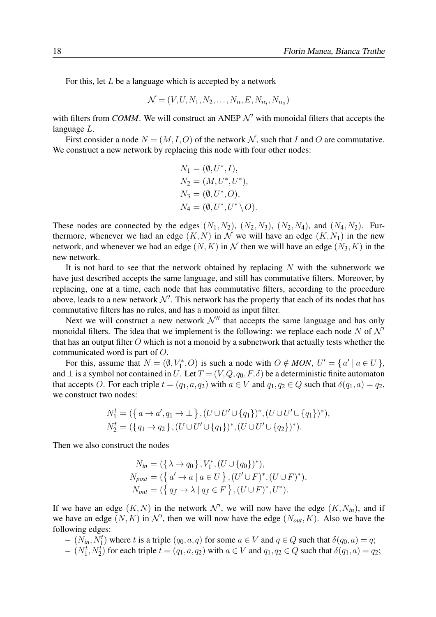For this, let  $L$  be a language which is accepted by a network

$$
\mathcal{N} = (V, U, N_1, N_2, \dots, N_n, E, N_{n_i}, N_{n_o})
$$

with filters from *COMM*. We will construct an ANEP  $\mathcal{N}'$  with monoidal filters that accepts the language L.

First consider a node  $N = (M, I, O)$  of the network N, such that I and O are commutative. We construct a new network by replacing this node with four other nodes:

$$
N_1 = (\emptyset, U^*, I),
$$
  
\n
$$
N_2 = (M, U^*, U^*),
$$
  
\n
$$
N_3 = (\emptyset, U^*, O),
$$
  
\n
$$
N_4 = (\emptyset, U^*, U^* \setminus O).
$$

These nodes are connected by the edges  $(N_1, N_2)$ ,  $(N_2, N_3)$ ,  $(N_2, N_4)$ , and  $(N_4, N_2)$ . Furthermore, whenever we had an edge  $(K, N)$  in N we will have an edge  $(K, N_1)$  in the new network, and whenever we had an edge  $(N, K)$  in N then we will have an edge  $(N_3, K)$  in the new network.

It is not hard to see that the network obtained by replacing  $N$  with the subnetwork we have just described accepts the same language, and still has commutative filters. Moreover, by replacing, one at a time, each node that has commutative filters, according to the procedure above, leads to a new network  $\mathcal{N}'$ . This network has the property that each of its nodes that has commutative filters has no rules, and has a monoid as input filter.

Next we will construct a new network  $\mathcal{N}''$  that accepts the same language and has only monoidal filters. The idea that we implement is the following: we replace each node N of  $\mathcal{N}'$ that has an output filter  $O$  which is not a monoid by a subnetwork that actually tests whether the communicated word is part of O.

For this, assume that  $N = (\emptyset, V_1^*, O)$  is such a node with  $O \notin MON, U' = \{a' \mid a \in U\}$ , and  $\perp$  is a symbol not contained in U. Let  $T = (V, Q, q_0, F, \delta)$  be a deterministic finite automaton that accepts O. For each triple  $t = (q_1, a, q_2)$  with  $a \in V$  and  $q_1, q_2 \in Q$  such that  $\delta(q_1, a) = q_2$ , we construct two nodes:

$$
N_1^t = (\{ a \to a', q_1 \to \bot \}, (U \cup U' \cup \{ q_1 \})^*, (U \cup U' \cup \{ q_1 \})^*),
$$
  
\n
$$
N_2^t = (\{ q_1 \to q_2 \}, (U \cup U' \cup \{ q_1 \})^*, (U \cup U' \cup \{ q_2 \})^*).
$$

Then we also construct the nodes

$$
N_{in} = (\{\lambda \to q_0\}, V_1^*, (U \cup \{q_0\})^*),
$$
  
\n
$$
N_{post} = (\{a' \to a \mid a \in U\}, (U' \cup F)^*, (U \cup F)^*),
$$
  
\n
$$
N_{out} = (\{q_f \to \lambda \mid q_f \in F\}, (U \cup F)^*, U^*).
$$

If we have an edge  $(K, N)$  in the network  $\mathcal{N}'$ , we will now have the edge  $(K, N_{in})$ , and if we have an edge  $(N, K)$  in  $\mathcal{N}'$ , then we will now have the edge  $(N_{out}, K)$ . Also we have the following edges:

 $-(N_{in}, N_1^t)$  where t is a triple  $(q_0, a, q)$  for some  $a \in V$  and  $q \in Q$  such that  $\delta(q_0, a) = q$ ;

 $-(N_1^t, N_2^t)$  for each triple  $t = (q_1, a, q_2)$  with  $a \in V$  and  $q_1, q_2 \in Q$  such that  $\delta(q_1, a) = q_2$ ;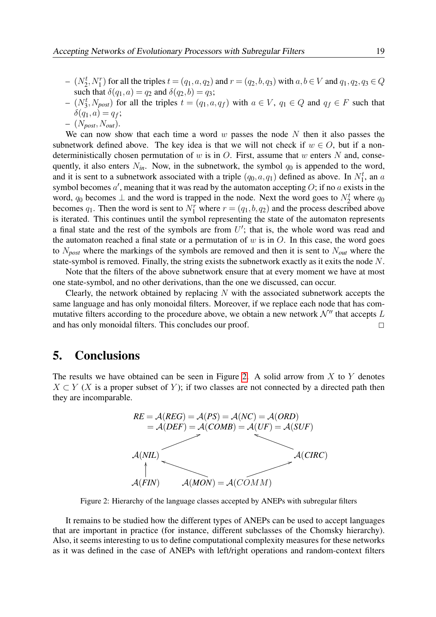$(N_2^t, N_1^r)$  for all the triples  $t = (q_1, a, q_2)$  and  $r = (q_2, b, q_3)$  with  $a, b \in V$  and  $q_1, q_2, q_3 \in Q$ such that  $\delta(q_1, a) = q_2$  and  $\delta(q_2, b) = q_3$ ;

- $-(N_3^t, N_{post})$  for all the triples  $t = (q_1, a, q_f)$  with  $a \in V$ ,  $q_1 \in Q$  and  $q_f \in F$  such that  $\delta(q_1, a) = q_f;$
- $-$  ( $N_{\text{post}}$ ,  $N_{\text{out}}$ ).

We can now show that each time a word  $w$  passes the node  $N$  then it also passes the subnetwork defined above. The key idea is that we will not check if  $w \in O$ , but if a nondeterministically chosen permutation of  $w$  is in  $O$ . First, assume that  $w$  enters  $N$  and, consequently, it also enters  $N_{in}$ . Now, in the subnetwork, the symbol  $q_0$  is appended to the word, and it is sent to a subnetwork associated with a triple  $(q_0, a, q_1)$  defined as above. In  $N_1^t$ , an a symbol becomes  $a'$ , meaning that it was read by the automaton accepting  $O$ ; if no a exists in the word,  $q_0$  becomes  $\perp$  and the word is trapped in the node. Next the word goes to  $N_2^t$  where  $q_0$ becomes  $q_1$ . Then the word is sent to  $N_1^r$  where  $r = (q_1, b, q_2)$  and the process described above is iterated. This continues until the symbol representing the state of the automaton represents a final state and the rest of the symbols are from  $U'$ ; that is, the whole word was read and the automaton reached a final state or a permutation of  $w$  is in  $O$ . In this case, the word goes to N*post* where the markings of the symbols are removed and then it is sent to N*out* where the state-symbol is removed. Finally, the string exists the subnetwork exactly as it exits the node N.

Note that the filters of the above subnetwork ensure that at every moment we have at most one state-symbol, and no other derivations, than the one we discussed, can occur.

Clearly, the network obtained by replacing  $N$  with the associated subnetwork accepts the same language and has only monoidal filters. Moreover, if we replace each node that has commutative filters according to the procedure above, we obtain a new network  $\mathcal{N}''$  that accepts L and has only monoidal filters. This concludes our proof.  $\Box$ 

### 5. Conclusions

The results we have obtained can be seen in Figure [2.](#page-18-0) A solid arrow from  $X$  to  $Y$  denotes  $X \subset Y$  (X is a proper subset of Y); if two classes are not connected by a directed path then they are incomparable.



Figure 2: Hierarchy of the language classes accepted by ANEPs with subregular filters

<span id="page-18-0"></span>It remains to be studied how the different types of ANEPs can be used to accept languages that are important in practice (for instance, different subclasses of the Chomsky hierarchy). Also, it seems interesting to us to define computational complexity measures for these networks as it was defined in the case of ANEPs with left/right operations and random-context filters